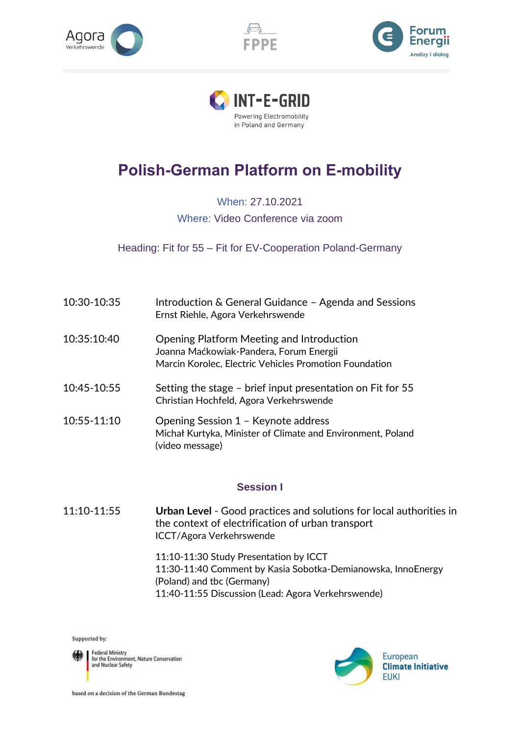







## **Polish-German Platform on E-mobility**

When: 27.10.2021 Where: Video Conference via zoom

Heading: Fit for 55 – Fit for EV-Cooperation Poland-Germany

| 10:30-10:35 | Introduction & General Guidance - Agenda and Sessions<br>Ernst Riehle, Agora Verkehrswende                                                     |
|-------------|------------------------------------------------------------------------------------------------------------------------------------------------|
| 10:35:10:40 | Opening Platform Meeting and Introduction<br>Joanna Maćkowiak-Pandera, Forum Energii<br>Marcin Korolec, Electric Vehicles Promotion Foundation |
| 10:45-10:55 | Setting the stage – brief input presentation on Fit for 55<br>Christian Hochfeld, Agora Verkehrswende                                          |
| 10:55-11:10 | Opening Session 1 - Keynote address<br>Michał Kurtyka, Minister of Climate and Environment, Poland<br>(video message)                          |

## **Session I**

11:10-11:55 **Urban Level** - Good practices and solutions for local authorities in the context of electrification of urban transport ICCT/Agora Verkehrswende

> 11:10-11:30 Study Presentation by ICCT 11:30-11:40 Comment by Kasia Sobotka-Demianowska, InnoEnergy (Poland) and tbc (Germany) 11:40-11:55 Discussion (Lead: Agora Verkehrswende)

Supported by:

Federal Ministry<br>for the Environment, Nature Conservation<br>and Nuclear Safety